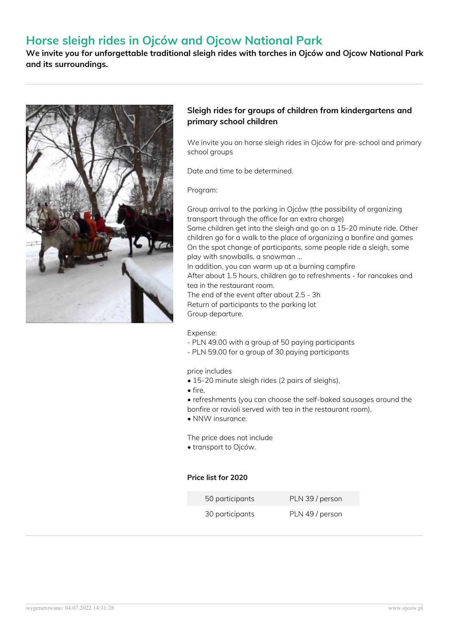# **Horse sleigh rides in Ojców and Ojcow National Park**

**We invite you for unforgettable traditional sleigh rides with torches in Ojców and Ojcow National Park and its surroundings.**



#### **Sleigh rides for groups of children from kindergartens and primary school children**

We invite you on horse sleigh rides in Ojców for pre-school and primary school groups

Date and time to be determined.

Program:

Group arrival to the parking in Ojców (the possibility of organizing transport through the office for an extra charge) Some children get into the sleigh and go on a 15-20 minute ride. Other children go for a walk to the place of organizing a bonfire and games On the spot change of participants, some people ride a sleigh, some play with snowballs, a snowman ... In addition, you can warm up at a burning campfire After about 1.5 hours, children go to refreshments - for rancakes and tea in the restaurant room.

The end of the event after about 2.5 - 3h Return of participants to the parking lot Group departure.

Expense:

- PLN 49.00 with a group of 50 paying participants
- PLN 59.00 for a group of 30 paying participants

price includes

- 15-20 minute sleigh rides (2 pairs of sleighs),
- fire,
- refreshments (you can choose the self-baked sausages around the
- bonfire or ravioli served with tea in the restaurant room).
- NNW insurance.

The price does not include

• transport to Ojców.

#### **Price list for 2020**

| 50 participants | PLN 39 / person |
|-----------------|-----------------|
| 30 participants | PLN 49 / person |